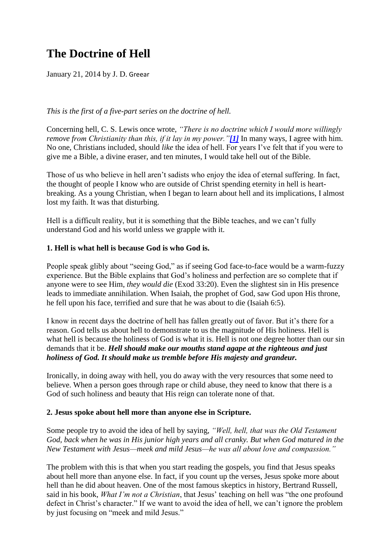## **The Doctrine of Hell**

January 21, 2014 by J. D. Greear

*This is the first of a five-part series on the doctrine of hell.*

Concerning hell, C. S. Lewis once wrote, *"There is no doctrine which I would more willingly remove from Christianity than this, if it lay in my power."[\[1\]](http://betweenthetimes.com/?p=7181#_ftn1)* In many ways, I agree with him. No one, Christians included, should *like* the idea of hell. For years I've felt that if you were to give me a Bible, a divine eraser, and ten minutes, I would take hell out of the Bible.

Those of us who believe in hell aren't sadists who enjoy the idea of eternal suffering. In fact, the thought of people I know who are outside of Christ spending eternity in hell is heartbreaking. As a young Christian, when I began to learn about hell and its implications, I almost lost my faith. It was that disturbing.

Hell is a difficult reality, but it is something that the Bible teaches, and we can't fully understand God and his world unless we grapple with it.

### **1. Hell is what hell is because God is who God is.**

People speak glibly about "seeing God," as if seeing God face-to-face would be a warm-fuzzy experience. But the Bible explains that God's holiness and perfection are so complete that if anyone were to see Him, *they would die* (Exod 33:20). Even the slightest sin in His presence leads to immediate annihilation. When Isaiah, the prophet of God, saw God upon His throne, he fell upon his face, terrified and sure that he was about to die (Isaiah 6:5).

I know in recent days the doctrine of hell has fallen greatly out of favor. But it's there for a reason. God tells us about hell to demonstrate to us the magnitude of His holiness. Hell is what hell is because the holiness of God is what it is. Hell is not one degree hotter than our sin demands that it be. *Hell should make our mouths stand agape at the righteous and just holiness of God. It should make us tremble before His majesty and grandeur.*

Ironically, in doing away with hell, you do away with the very resources that some need to believe. When a person goes through rape or child abuse, they need to know that there is a God of such holiness and beauty that His reign can tolerate none of that.

#### **2. Jesus spoke about hell more than anyone else in Scripture.**

Some people try to avoid the idea of hell by saying, *"Well, hell, that was the Old Testament God, back when he was in His junior high years and all cranky. But when God matured in the New Testament with Jesus—meek and mild Jesus—he was all about love and compassion."*

The problem with this is that when you start reading the gospels, you find that Jesus speaks about hell more than anyone else. In fact, if you count up the verses, Jesus spoke more about hell than he did about heaven. One of the most famous skeptics in history, Bertrand Russell, said in his book, *What I'm not a Christian*, that Jesus' teaching on hell was "the one profound defect in Christ's character." If we want to avoid the idea of hell, we can't ignore the problem by just focusing on "meek and mild Jesus."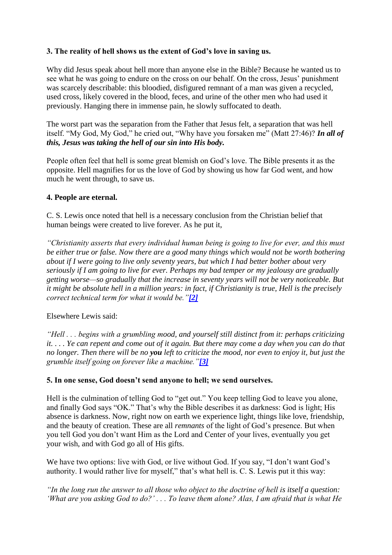### **3. The reality of hell shows us the extent of God's love in saving us.**

Why did Jesus speak about hell more than anyone else in the Bible? Because he wanted us to see what he was going to endure on the cross on our behalf. On the cross, Jesus' punishment was scarcely describable: this bloodied, disfigured remnant of a man was given a recycled, used cross, likely covered in the blood, feces, and urine of the other men who had used it previously. Hanging there in immense pain, he slowly suffocated to death.

The worst part was the separation from the Father that Jesus felt, a separation that was hell itself. "My God, My God," he cried out, "Why have you forsaken me" (Matt 27:46)? *In all of this, Jesus was taking the hell of our sin into His body.*

People often feel that hell is some great blemish on God's love. The Bible presents it as the opposite. Hell magnifies for us the love of God by showing us how far God went, and how much he went through, to save us.

### **4. People are eternal.**

C. S. Lewis once noted that hell is a necessary conclusion from the Christian belief that human beings were created to live forever. As he put it,

*"Christianity asserts that every individual human being is going to live for ever, and this must be either true or false. Now there are a good many things which would not be worth bothering about if I were going to live only seventy years, but which I had better bother about very seriously if I am going to live for ever. Perhaps my bad temper or my jealousy are gradually getting worse—so gradually that the increase in seventy years will not be very noticeable. But it might be absolute hell in a million years: in fact, if Christianity is true, Hell is the precisely correct technical term for what it would be."[\[2\]](http://betweenthetimes.com/?p=7181#_ftn2)*

### Elsewhere Lewis said:

*"Hell . . . begins with a grumbling mood, and yourself still distinct from it: perhaps criticizing it. . . . Ye can repent and come out of it again. But there may come a day when you can do that no longer. Then there will be no you left to criticize the mood, nor even to enjoy it, but just the grumble itself going on forever like a machine."[\[3\]](http://betweenthetimes.com/?p=7181#_ftn3)*

### **5. In one sense, God doesn't send anyone to hell; we send ourselves.**

Hell is the culmination of telling God to "get out." You keep telling God to leave you alone, and finally God says "OK." That's why the Bible describes it as darkness: God is light; His absence is darkness. Now, right now on earth we experience light, things like love, friendship, and the beauty of creation. These are all *remnants* of the light of God's presence. But when you tell God you don't want Him as the Lord and Center of your lives, eventually you get your wish, and with God go all of His gifts.

We have two options: live with God, or live without God. If you say, "I don't want God's authority. I would rather live for myself," that's what hell is. C. S. Lewis put it this way:

*"In the long run the answer to all those who object to the doctrine of hell is itself a question: 'What are you asking God to do?' . . . To leave them alone? Alas, I am afraid that is what He*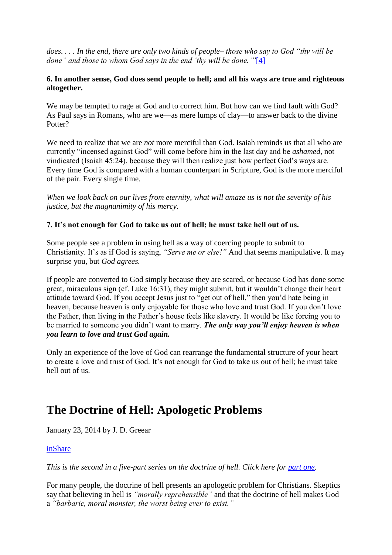*does. . . . In the end, there are only two kinds of people– those who say to God "thy will be done" and those to whom God says in the end 'thy will be done.'"*[\[4\]](http://betweenthetimes.com/?p=7181#_ftn4)

#### **6. In another sense, God does send people to hell; and all his ways are true and righteous altogether.**

We may be tempted to rage at God and to correct him. But how can we find fault with God? As Paul says in Romans, who are we—as mere lumps of clay—to answer back to the divine Potter?

We need to realize that we are *not* more merciful than God. Isaiah reminds us that all who are currently "incensed against God" will come before him in the last day and be *ashamed*, not vindicated (Isaiah 45:24), because they will then realize just how perfect God's ways are. Every time God is compared with a human counterpart in Scripture, God is the more merciful of the pair. Every single time.

*When we look back on our lives from eternity, what will amaze us is not the severity of his justice, but the magnanimity of his mercy.*

### **7. It's not enough for God to take us out of hell; he must take hell out of us.**

Some people see a problem in using hell as a way of coercing people to submit to Christianity. It's as if God is saying, *"Serve me or else!"* And that seems manipulative. It may surprise you, but *God agrees.*

If people are converted to God simply because they are scared, or because God has done some great, miraculous sign (cf. Luke 16:31), they might submit, but it wouldn't change their heart attitude toward God. If you accept Jesus just to "get out of hell," then you'd hate being in heaven, because heaven is only enjoyable for those who love and trust God. If you don't love the Father, then living in the Father's house feels like slavery. It would be like forcing you to be married to someone you didn't want to marry. *The only way you'll enjoy heaven is when you learn to love and trust God again.*

Only an experience of the love of God can rearrange the fundamental structure of your heart to create a love and trust of God. It's not enough for God to take us out of hell; he must take hell out of us.

## **The Doctrine of Hell: Apologetic Problems**

January 23, 2014 by J. D. Greear

### [inShare](javascript:void(0);)

*This is the second in a five-part series on the doctrine of hell. Click here for [part one.](http://betweenthetimes.com/?p=7181)* 

For many people, the doctrine of hell presents an apologetic problem for Christians. Skeptics say that believing in hell is *"morally reprehensible"* and that the doctrine of hell makes God a *"barbaric, moral monster, the worst being ever to exist."*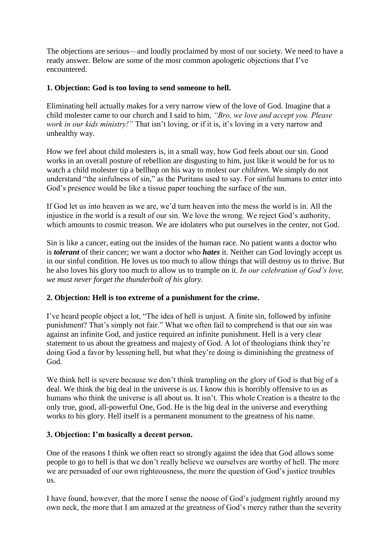The objections are serious—and loudly proclaimed by most of our society. We need to have a ready answer. Below are some of the most common apologetic objections that I've encountered.

### **1. Objection: God is too loving to send someone to hell.**

Eliminating hell actually makes for a very narrow view of the love of God. Imagine that a child molester came to our church and I said to him, *"Bro, we love and accept you. Please work in our kids ministry!"* That isn't loving, or if it is, it's loving in a very narrow and unhealthy way.

How we feel about child molesters is, in a small way, how God feels about our sin. Good works in an overall posture of rebellion are disgusting to him, just like it would be for us to watch a child molester tip a bellhop on his way to molest *our children.* We simply do not understand "the sinfulness of sin," as the Puritans used to say. For sinful humans to enter into God's presence would be like a tissue paper touching the surface of the sun.

If God let us into heaven as we are, we'd turn heaven into the mess the world is in. All the injustice in the world is a result of our sin. We love the wrong. We reject God's authority, which amounts to cosmic treason. We are idolaters who put ourselves in the center, not God.

Sin is like a cancer, eating out the insides of the human race. No patient wants a doctor who is *tolerant* of their cancer; we want a doctor who *hates* it. Neither can God lovingly accept us in our sinful condition. He loves us too much to allow things that will destroy us to thrive. But he also loves his glory too much to allow us to trample on it. *In our celebration of God's love, we must never forget the thunderbolt of his glory.*

### **2. Objection: Hell is too extreme of a punishment for the crime.**

I've heard people object a lot, "The idea of hell is unjust. A finite sin, followed by infinite punishment? That's simply not fair." What we often fail to comprehend is that our sin was against an infinite God, and justice required an infinite punishment. Hell is a very clear statement to us about the greatness and majesty of God. A lot of theologians think they're doing God a favor by lessening hell, but what they're doing is diminishing the greatness of God.

We think hell is severe because we don't think trampling on the glory of God is that big of a deal. We think the big deal in the universe is *us.* I know this is horribly offensive to us as humans who think the universe is all about us. It isn't. This whole Creation is a theatre to the only true, good, all-powerful One, God. He is the big deal in the universe and everything works to his glory. Hell itself is a permanent monument to the greatness of his name.

#### **3. Objection: I'm basically a decent person.**

One of the reasons I think we often react so strongly against the idea that God allows some people to go to hell is that we don't really believe we ourselves are worthy of hell. The more we are persuaded of our own righteousness, the more the question of God's justice troubles us.

I have found, however, that the more I sense the noose of God's judgment rightly around my own neck, the more that I am amazed at the greatness of God's mercy rather than the severity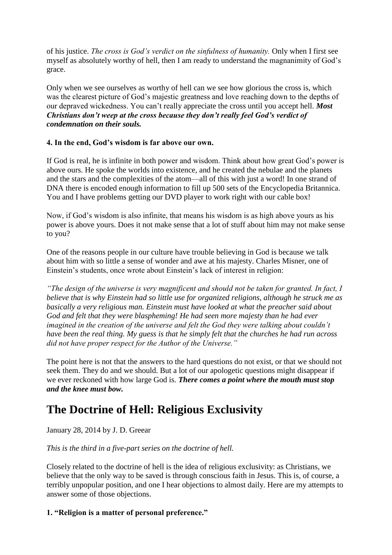of his justice. *The cross is God's verdict on the sinfulness of humanity.* Only when I first see myself as absolutely worthy of hell, then I am ready to understand the magnanimity of God's grace.

Only when we see ourselves as worthy of hell can we see how glorious the cross is, which was the clearest picture of God's majestic greatness and love reaching down to the depths of our depraved wickedness. You can't really appreciate the cross until you accept hell. *Most Christians don't weep at the cross because they don't really feel God's verdict of condemnation on their souls.*

### **4. In the end, God's wisdom is far above our own.**

If God is real, he is infinite in both power and wisdom. Think about how great God's power is above ours. He spoke the worlds into existence, and he created the nebulae and the planets and the stars and the complexities of the atom—all of this with just a word! In one strand of DNA there is encoded enough information to fill up 500 sets of the Encyclopedia Britannica. You and I have problems getting our DVD player to work right with our cable box!

Now, if God's wisdom is also infinite, that means his wisdom is as high above yours as his power is above yours. Does it not make sense that a lot of stuff about him may not make sense to you?

One of the reasons people in our culture have trouble believing in God is because we talk about him with so little a sense of wonder and awe at his majesty. Charles Misner, one of Einstein's students, once wrote about Einstein's lack of interest in religion:

*"The design of the universe is very magnificent and should not be taken for granted. In fact, I believe that is why Einstein had so little use for organized religions, although he struck me as basically a very religious man. Einstein must have looked at what the preacher said about God and felt that they were blaspheming! He had seen more majesty than he had ever imagined in the creation of the universe and felt the God they were talking about couldn't have been the real thing. My guess is that he simply felt that the churches he had run across did not have proper respect for the Author of the Universe."*

The point here is not that the answers to the hard questions do not exist, or that we should not seek them. They do and we should. But a lot of our apologetic questions might disappear if we ever reckoned with how large God is. *There comes a point where the mouth must stop and the knee must bow.*

# **The Doctrine of Hell: Religious Exclusivity**

### January 28, 2014 by J. D. Greear

### *This is the third in a five-part series on the doctrine of hell.*

Closely related to the doctrine of hell is the idea of religious exclusivity: as Christians, we believe that the only way to be saved is through conscious faith in Jesus. This is, of course, a terribly unpopular position, and one I hear objections to almost daily. Here are my attempts to answer some of those objections.

### **1. "Religion is a matter of personal preference."**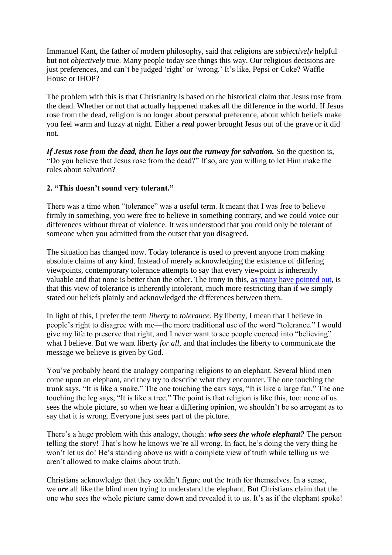Immanuel Kant, the father of modern philosophy, said that religions are *subjectively* helpful but not *objectively* true. Many people today see things this way. Our religious decisions are just preferences, and can't be judged 'right' or 'wrong.' It's like, Pepsi or Coke? Waffle House or IHOP?

The problem with this is that Christianity is based on the historical claim that Jesus rose from the dead. Whether or not that actually happened makes all the difference in the world. If Jesus rose from the dead, religion is no longer about personal preference, about which beliefs make you feel warm and fuzzy at night. Either a *real* power brought Jesus out of the grave or it did not.

*If Jesus rose from the dead, then he lays out the runway for salvation.* So the question is, "Do you believe that Jesus rose from the dead?" If so, are you willing to let Him make the rules about salvation?

### **2. "This doesn't sound very tolerant."**

There was a time when "tolerance" was a useful term. It meant that I was free to believe firmly in something, you were free to believe in something contrary, and we could voice our differences without threat of violence. It was understood that you could only be tolerant of someone when you admitted from the outset that you disagreed.

The situation has changed now. Today tolerance is used to prevent anyone from making absolute claims of any kind. Instead of merely acknowledging the existence of differing viewpoints, contemporary tolerance attempts to say that every viewpoint is inherently valuable and that none is better than the other. The irony in this, [as many have pointed out,](http://thegospelcoalition.org/blogs/tgc/2012/02/26/contemporary-tolerance-is-intrinsically-intolerant/) is that this view of tolerance is inherently intolerant, much more restricting than if we simply stated our beliefs plainly and acknowledged the differences between them.

In light of this, I prefer the term *liberty* to *tolerance.* By liberty, I mean that I believe in people's right to disagree with me—the more traditional use of the word "tolerance." I would give my life to preserve that right, and I never want to see people coerced into "believing" what I believe. But we want liberty *for all*, and that includes the liberty to communicate the message we believe is given by God.

You've probably heard the analogy comparing religions to an elephant. Several blind men come upon an elephant, and they try to describe what they encounter. The one touching the trunk says, "It is like a snake." The one touching the ears says, "It is like a large fan." The one touching the leg says, "It is like a tree." The point is that religion is like this, too: none of us sees the whole picture, so when we hear a differing opinion, we shouldn't be so arrogant as to say that it is wrong. Everyone just sees part of the picture.

There's a huge problem with this analogy, though: *who sees the whole elephant?* The person telling the story! That's how he knows we're all wrong. In fact, he's doing the very thing he won't let us do! He's standing above us with a complete view of truth while telling us we aren't allowed to make claims about truth.

Christians acknowledge that they couldn't figure out the truth for themselves. In a sense, we *are* all like the blind men trying to understand the elephant. But Christians claim that the one who sees the whole picture came down and revealed it to us. It's as if the elephant spoke!